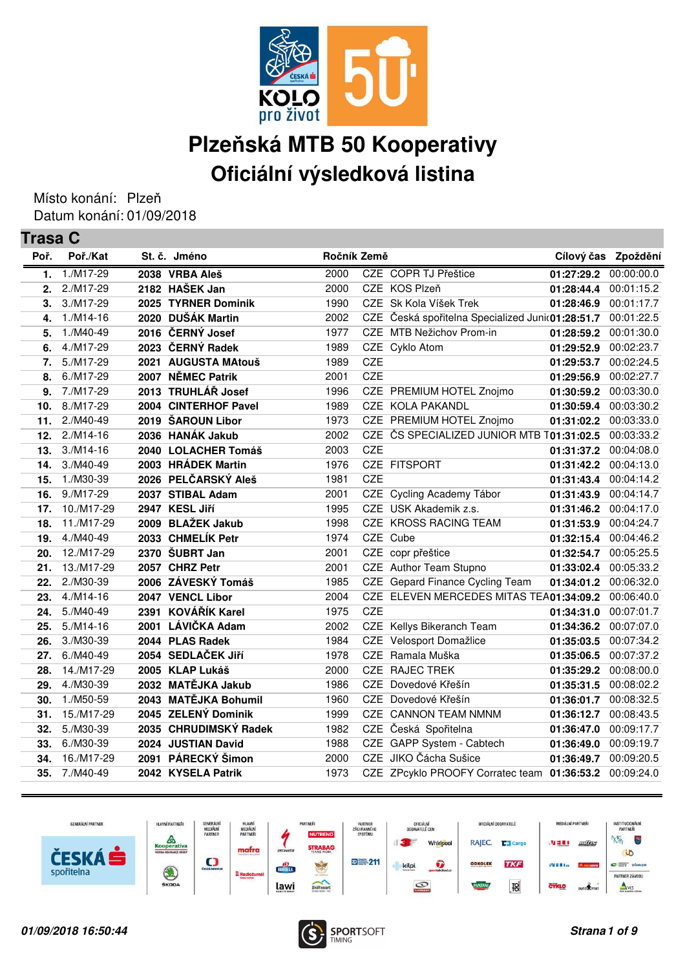

## **Plzeňská MTB 50 Kooperativy Oficiální výsledková listina**

Místo konání: Plzeň Datum konání: 01/09/2018

| <b>Trasa C</b> |             |      |                       |             |            |                                                  |                     |            |
|----------------|-------------|------|-----------------------|-------------|------------|--------------------------------------------------|---------------------|------------|
| Poř.           | Poř./Kat    |      | St. č. Jméno          | Ročník Země |            |                                                  | Cílový čas Zpoždění |            |
| 1.             | 1./M17-29   |      | 2038 VRBA Aleš        | 2000        |            | CZE COPR TJ Přeštice                             | 01:27:29.2          | 00:00:00.0 |
| 2.             | 2./M17-29   |      | 2182 HAŠEK Jan        | 2000        |            | CZE KOS Plzeň                                    | 01:28:44.4          | 00:01:15.2 |
| 3.             | 3./M17-29   |      | 2025 TYRNER Dominik   | 1990        |            | CZE Sk Kola Víšek Trek                           | 01:28:46.9          | 00:01:17.7 |
| 4.             | $1./M14-16$ |      | 2020 DUŠÁK Martin     | 2002        |            | CZE Česká spořitelna Specialized Juni(01:28:51.7 |                     | 00:01:22.5 |
| 5.             | 1./M40-49   |      | 2016 ČERNÝ Josef      | 1977        |            | CZE MTB Nežichov Prom-in                         | 01:28:59.2          | 00:01:30.0 |
| 6.             | 4./M17-29   | 2023 | ČERNÝ Radek           | 1989        |            | CZE Cyklo Atom                                   | 01:29:52.9          | 00:02:23.7 |
| 7.             | 5./M17-29   |      | 2021 AUGUSTA MAtouš   | 1989        | <b>CZE</b> |                                                  | 01:29:53.7          | 00:02:24.5 |
| 8.             | 6./M17-29   |      | 2007 NĚMEC Patrik     | 2001        | <b>CZE</b> |                                                  | 01:29:56.9          | 00:02:27.7 |
| 9.             | 7./M17-29   |      | 2013 TRUHLÁŘ Josef    | 1996        |            | CZE PREMIUM HOTEL Znojmo                         | 01:30:59.2          | 00:03:30.0 |
| 10.            | 8./M17-29   |      | 2004 CINTERHOF Pavel  | 1989        |            | CZE KOLA PAKANDL                                 | 01:30:59.4          | 00:03:30.2 |
| 11.            | 2./M40-49   |      | 2019 ŠAROUN Libor     | 1973        |            | CZE PREMIUM HOTEL Znojmo                         | 01:31:02.2          | 00:03:33.0 |
| 12.            | $2./M14-16$ |      | 2036 HANÁK Jakub      | 2002        |            | CZE ČS SPECIALIZED JUNIOR MTB T01:31:02.5        |                     | 00:03:33.2 |
| 13.            | $3./M14-16$ |      | 2040 LOLACHER Tomáš   | 2003        | <b>CZE</b> |                                                  | 01:31:37.2          | 00:04:08.0 |
| 14.            | 3./M40-49   |      | 2003 HRÁDEK Martin    | 1976        |            | CZE FITSPORT                                     | 01:31:42.2          | 00:04:13.0 |
| 15.            | 1./M30-39   |      | 2026 PELČARSKÝ Aleš   | 1981        | <b>CZE</b> |                                                  | 01:31:43.4          | 00:04:14.2 |
| 16.            | 9./M17-29   |      | 2037 STIBAL Adam      | 2001        |            | CZE Cycling Academy Tábor                        | 01:31:43.9          | 00:04:14.7 |
| 17.            | 10./M17-29  |      | 2947 KESL Jiří        | 1995        |            | CZE USK Akademik z.s.                            | 01:31:46.2          | 00:04:17.0 |
| 18.            | 11./M17-29  |      | 2009 BLAŽEK Jakub     | 1998        |            | CZE KROSS RACING TEAM                            | 01:31:53.9          | 00:04:24.7 |
| 19.            | 4./M40-49   |      | 2033 CHMELÍK Petr     | 1974        |            | CZE Cube                                         | 01:32:15.4          | 00:04:46.2 |
| 20.            | 12./M17-29  |      | 2370 ŠUBRT Jan        | 2001        |            | CZE copr přeštice                                | 01:32:54.7          | 00:05:25.5 |
| 21.            | 13./M17-29  |      | 2057 CHRZ Petr        | 2001        |            | CZE Author Team Stupno                           | 01:33:02.4          | 00:05:33.2 |
| 22.            | 2./M30-39   |      | 2006 ZÁVESKÝ Tomáš    | 1985        |            | CZE Gepard Finance Cycling Team                  | 01:34:01.2          | 00:06:32.0 |
| 23.            | $4./M14-16$ |      | 2047 VENCL Libor      | 2004        |            | CZE ELEVEN MERCEDES MITAS TEA01:34:09.2          |                     | 00:06:40.0 |
| 24.            | 5./M40-49   | 2391 | <b>KOVÁŘÍK Karel</b>  | 1975        | <b>CZE</b> |                                                  | 01:34:31.0          | 00:07:01.7 |
| 25.            | $5./M14-16$ |      | 2001 LÁVIČKA Adam     | 2002        |            | CZE Kellys Bikeranch Team                        | 01:34:36.2          | 00:07:07.0 |
| 26.            | 3./M30-39   |      | 2044 PLAS Radek       | 1984        |            | CZE Velosport Domažlice                          | 01:35:03.5          | 00:07:34.2 |
| 27.            | 6./M40-49   |      | 2054 SEDLAČEK Jiří    | 1978        |            | CZE Ramala Muška                                 | 01:35:06.5          | 00:07:37.2 |
| 28.            | 14./M17-29  |      | 2005 KLAP Lukáš       | 2000        |            | <b>CZE RAJEC TREK</b>                            | 01:35:29.2          | 00:08:00.0 |
| 29.            | 4./M30-39   |      | 2032 MATĚJKA Jakub    | 1986        |            | CZE Dovedové Křešín                              | 01:35:31.5          | 00:08:02.2 |
| 30.            | 1./M50-59   |      | 2043 MATĚJKA Bohumil  | 1960        |            | CZE Dovedové Křešín                              | 01:36:01.7          | 00:08:32.5 |
| 31.            | 15./M17-29  |      | 2045 ZELENÝ Dominik   | 1999        |            | CZE CANNON TEAM NMNM                             | 01:36:12.7          | 00:08:43.5 |
| 32.            | 5./M30-39   |      | 2035 CHRUDIMSKÝ Radek | 1982        |            | CZE Česká Spořitelna                             | 01:36:47.0          | 00:09:17.7 |
| 33.            | 6./M30-39   |      | 2024 JUSTIAN David    | 1988        |            | CZE GAPP System - Cabtech                        | 01:36:49.0          | 00:09:19.7 |
| 34.            | 16./M17-29  |      | 2091 PÁRECKÝ Šimon    | 2000        |            | CZE JIKO Čácha Sušice                            | 01:36:49.7          | 00:09:20.5 |
| 35.            | 7./M40-49   |      | 2042 KYSELA Patrik    | 1973        |            | CZE ZPcyklo PROOFY Corratec team 01:36:53.2      |                     | 00:09:24.0 |
|                |             |      |                       |             |            |                                                  |                     |            |



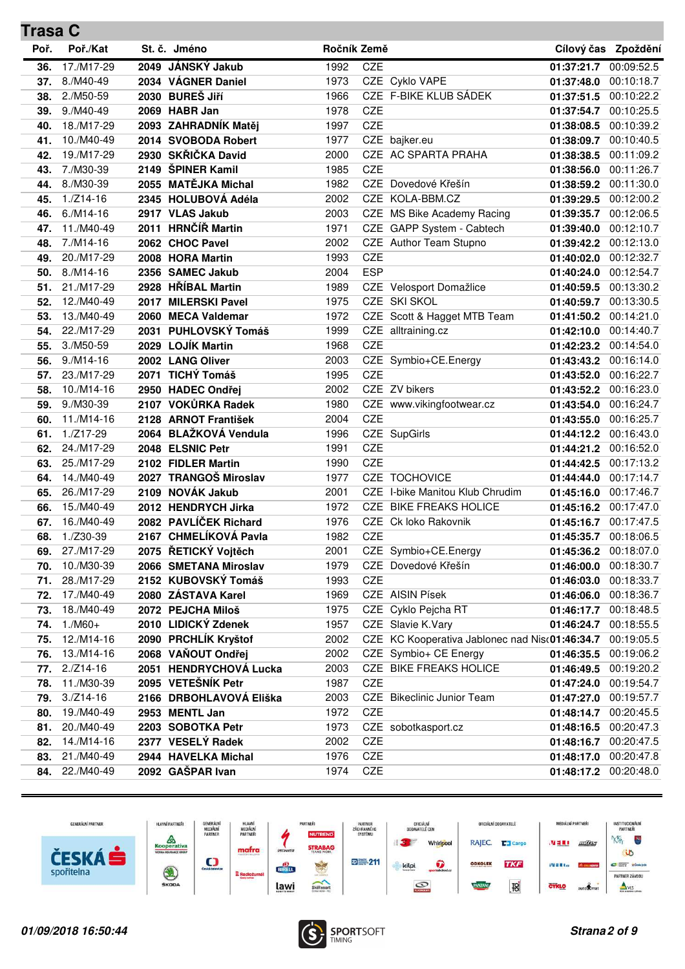| <b>Trasa C</b> |             |      |                         |             |            |                                                |                       |                     |
|----------------|-------------|------|-------------------------|-------------|------------|------------------------------------------------|-----------------------|---------------------|
| Poř.           | Poř./Kat    |      | St. č. Jméno            | Ročník Země |            |                                                |                       | Cílový čas Zpoždění |
| 36.            | 17./M17-29  | 2049 | JÁNSKÝ Jakub            | 1992        | <b>CZE</b> |                                                | 01:37:21.7            | 00:09:52.5          |
| 37.            | 8./M40-49   |      | 2034 VÁGNER Daniel      | 1973        |            | CZE Cyklo VAPE                                 | 01:37:48.0            | 00:10:18.7          |
| 38.            | 2./M50-59   |      | 2030 BUREŠ Jiří         | 1966        |            | CZE F-BIKE KLUB SÁDEK                          | 01:37:51.5            | 00:10:22.2          |
| 39.            | 9./M40-49   |      | 2069 HABR Jan           | 1978        | CZE        |                                                | 01:37:54.7            | 00:10:25.5          |
| 40.            | 18./M17-29  |      | 2093 ZAHRADNÍK Matěj    | 1997        | CZE        |                                                | 01:38:08.5            | 00:10:39.2          |
| 41.            | 10./M40-49  |      | 2014 SVOBODA Robert     | 1977        |            | CZE bajker.eu                                  | 01:38:09.7            | 00:10:40.5          |
| 42.            | 19./M17-29  |      | 2930 SKŘIČKA David      | 2000        |            | CZE AC SPARTA PRAHA                            | 01:38:38.5            | 00:11:09.2          |
| 43.            | 7./M30-39   |      | 2149 ŠPINER Kamil       | 1985        | <b>CZE</b> |                                                | 01:38:56.0            | 00:11:26.7          |
| 44.            | 8./M30-39   |      | 2055 MATĚJKA Michal     | 1982        |            | CZE Dovedové Křešín                            | 01:38:59.2            | 00:11:30.0          |
| 45.            | $1./Z14-16$ |      | 2345 HOLUBOVÁ Adéla     | 2002        |            | CZE KOLA-BBM.CZ                                | 01:39:29.5            | 00:12:00.2          |
| 46.            | $6./M14-16$ |      | 2917 VLAS Jakub         | 2003        |            | CZE MS Bike Academy Racing                     | 01:39:35.7            | 00:12:06.5          |
| 47.            | 11./M40-49  | 2011 | <b>HRNČÍŘ Martin</b>    | 1971        |            | CZE GAPP System - Cabtech                      | 01:39:40.0            | 00:12:10.7          |
| 48.            | 7./M14-16   |      | 2062 CHOC Pavel         | 2002        |            | CZE Author Team Stupno                         | 01:39:42.2            | 00:12:13.0          |
| 49.            | 20./M17-29  |      | 2008 HORA Martin        | 1993        | <b>CZE</b> |                                                | 01:40:02.0            | 00:12:32.7          |
| 50.            | $8./M14-16$ |      | 2356 SAMEC Jakub        | 2004        | <b>ESP</b> |                                                | 01:40:24.0            | 00:12:54.7          |
| 51.            | 21./M17-29  |      | 2928 HŘÍBAL Martin      | 1989        |            | CZE Velosport Domažlice                        | 01:40:59.5            | 00:13:30.2          |
| 52.            | 12./M40-49  | 2017 | <b>MILERSKI Pavel</b>   | 1975        |            | CZE SKI SKOL                                   | 01:40:59.7            | 00:13:30.5          |
| 53.            | 13./M40-49  |      | 2060 MECA Valdemar      | 1972        |            | CZE Scott & Hagget MTB Team                    | 01:41:50.2            | 00:14:21.0          |
| 54.            | 22./M17-29  | 2031 | PUHLOVSKÝ Tomáš         | 1999        |            | CZE alltraining.cz                             | 01:42:10.0            | 00:14:40.7          |
| 55.            | 3./M50-59   |      | 2029 LOJÍK Martin       | 1968        | <b>CZE</b> |                                                | 01:42:23.2            | 00:14:54.0          |
| 56.            | $9./M14-16$ |      | 2002 LANG Oliver        | 2003        |            | CZE Symbio+CE.Energy                           | 01:43:43.2            | 00:16:14.0          |
| 57.            | 23./M17-29  |      | 2071 TICHÝ Tomáš        | 1995        | <b>CZE</b> |                                                | 01:43:52.0            | 00:16:22.7          |
| 58.            | 10./M14-16  |      | 2950 HADEC Ondřej       | 2002        |            | CZE ZV bikers                                  | 01:43:52.2            | 00:16:23.0          |
| 59.            | 9./M30-39   |      | 2107 VOKŮRKA Radek      | 1980        |            | CZE www.vikingfootwear.cz                      | 01:43:54.0            | 00:16:24.7          |
| 60.            | 11./M14-16  |      | 2128 ARNOT František    | 2004        | <b>CZE</b> |                                                | 01:43:55.0            | 00:16:25.7          |
| 61.            | $1./Z17-29$ |      | 2064 BLAŽKOVÁ Vendula   | 1996        |            | CZE SupGirls                                   | 01:44:12.2            | 00:16:43.0          |
| 62.            | 24./M17-29  |      | 2048 ELSNIC Petr        | 1991        | CZE        |                                                | 01:44:21.2            | 00:16:52.0          |
| 63.            | 25./M17-29  |      | 2102 FIDLER Martin      | 1990        | CZE        |                                                | 01:44:42.5            | 00:17:13.2          |
| 64.            | 14./M40-49  |      | 2027 TRANGOŠ Miroslav   | 1977        |            | <b>CZE TOCHOVICE</b>                           | 01:44:44.0            | 00:17:14.7          |
| 65.            | 26./M17-29  |      | 2109 NOVÁK Jakub        | 2001        |            | CZE I-bike Manitou Klub Chrudim                | 01:45:16.0            | 00:17:46.7          |
| 66.            | 15./M40-49  |      | 2012 HENDRYCH Jirka     | 1972        |            | CZE BIKE FREAKS HOLICE                         | 01:45:16.2            | 00:17:47.0          |
| 67.            | 16./M40-49  |      | 2082 PAVLÍČEK Richard   | 1976        |            | CZE Ck loko Rakovnik                           | 01:45:16.7            | 00:17:47.5          |
| 68.            | 1./Z30-39   |      | 2167 CHMELÍKOVÁ Pavla   | 1982        | CZE        |                                                | 01:45:35.7            | 00:18:06.5          |
| 69.            | 27./M17-29  |      | 2075 ŘETICKÝ Vojtěch    | 2001        |            | CZE Symbio+CE.Energy                           | 01:45:36.2            | 00:18:07.0          |
| 70.            | 10./M30-39  |      | 2066 SMETANA Miroslav   | 1979        |            | CZE Dovedové Křešín                            | 01:46:00.0            | 00:18:30.7          |
| 71.            | 28./M17-29  |      | 2152 KUBOVSKÝ Tomáš     | 1993        | CZE        |                                                | 01:46:03.0            | 00:18:33.7          |
| 72.            | 17./M40-49  |      | 2080 ZÁSTAVA Karel      | 1969        |            | CZE AISIN Písek                                | 01:46:06.0            | 00:18:36.7          |
| 73.            | 18./M40-49  |      | 2072 PEJCHA Miloš       | 1975        |            | CZE Cyklo Pejcha RT                            | 01:46:17.7 00:18:48.5 |                     |
| 74.            | $1./M60+$   |      | 2010 LIDICKÝ Zdenek     | 1957        |            | CZE Slavie K.Vary                              | 01:46:24.7            | 00:18:55.5          |
| 75.            | 12./M14-16  |      | 2090 PRCHLÍK Kryštof    | 2002        |            | CZE KC Kooperativa Jablonec nad Nis(01:46:34.7 |                       | 00:19:05.5          |
| 76.            | 13./M14-16  |      | 2068 VAŇOUT Ondřej      | 2002        |            | CZE Symbio+ CE Energy                          | 01:46:35.5            | 00:19:06.2          |
| 77.            | $2./Z14-16$ |      | 2051 HENDRYCHOVÁ Lucka  | 2003        |            | CZE BIKE FREAKS HOLICE                         | 01:46:49.5            | 00:19:20.2          |
| 78.            | 11./M30-39  |      | 2095 VETEŠNÍK Petr      | 1987        | CZE        |                                                | 01:47:24.0            | 00:19:54.7          |
| 79.            | $3./Z14-16$ |      | 2166 DRBOHLAVOVÁ Eliška | 2003        |            | CZE Bikeclinic Junior Team                     | 01:47:27.0            | 00:19:57.7          |
| 80.            | 19./M40-49  |      | 2953 MENTL Jan          | 1972        | CZE        |                                                | 01:48:14.7            | 00:20:45.5          |
| 81.            | 20./M40-49  |      | 2203 SOBOTKA Petr       | 1973        |            | CZE sobotkasport.cz                            | 01:48:16.5            | 00:20:47.3          |
| 82.            | 14./M14-16  |      | 2377 VESELÝ Radek       | 2002        | CZE        |                                                | 01:48:16.7 00:20:47.5 |                     |
| 83.            | 21./M40-49  |      | 2944 HAVELKA Michal     | 1976        | CZE        |                                                | 01:48:17.0            | 00:20:47.8          |
| 84.            | 22./M40-49  |      | 2092 GAŠPAR Ivan        | 1974        | CZE        |                                                | 01:48:17.2 00:20:48.0 |                     |
|                |             |      |                         |             |            |                                                |                       |                     |



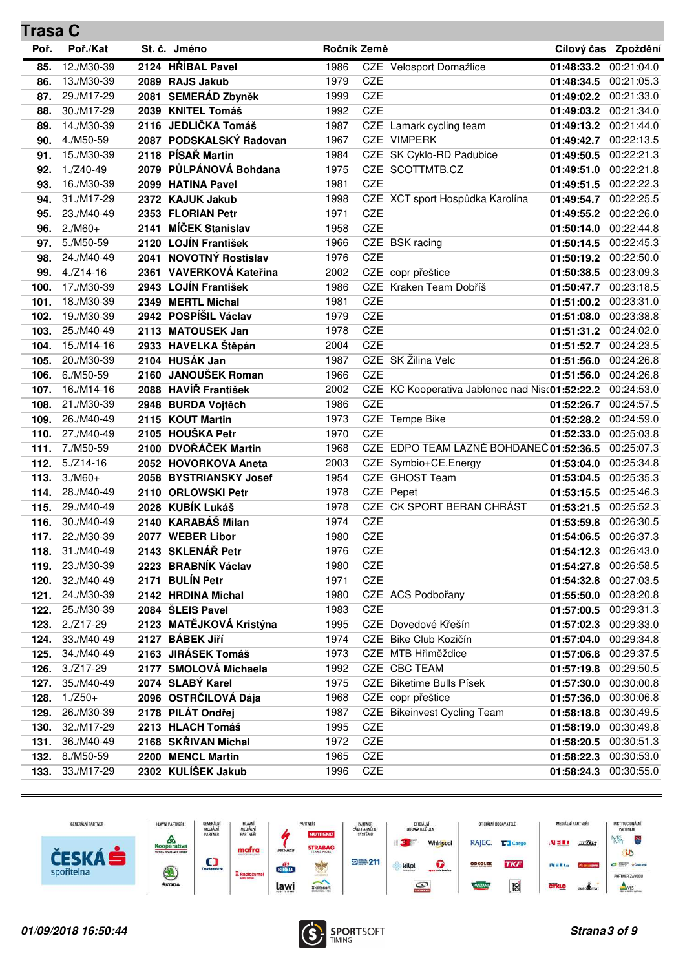| <b>Trasa C</b> |                          |      |                                        |              |            |                                                |                          |                          |
|----------------|--------------------------|------|----------------------------------------|--------------|------------|------------------------------------------------|--------------------------|--------------------------|
| Poř.           | Poř./Kat                 |      | St. č. Jméno                           | Ročník Země  |            |                                                |                          | Cílový čas Zpoždění      |
| 85.            | 12./M30-39               |      | 2124 HŘÍBAL Pavel                      | 1986         |            | CZE Velosport Domažlice                        | 01:48:33.2               | 00:21:04.0               |
| 86.            | 13./M30-39               |      | 2089 RAJS Jakub                        | 1979         | CZE        |                                                | 01:48:34.5               | 00:21:05.3               |
| 87.            | 29./M17-29               |      | 2081 SEMERÁD Zbyněk                    | 1999         | <b>CZE</b> |                                                | 01:49:02.2               | 00:21:33.0               |
| 88.            | 30./M17-29               |      | 2039 KNITEL Tomáš                      | 1992         | CZE        |                                                | 01:49:03.2               | 00:21:34.0               |
| 89.            | 14./M30-39               |      | 2116 JEDLIČKA Tomáš                    | 1987         |            | CZE Lamark cycling team                        | 01:49:13.2               | 00:21:44.0               |
| 90.            | 4./M50-59                |      | 2087 PODSKALSKÝ Radovan                | 1967         |            | CZE VIMPERK                                    | 01:49:42.7 00:22:13.5    |                          |
| 91.            | 15./M30-39               |      | 2118 PÍSAŘ Martin                      | 1984         |            | CZE SK Cyklo-RD Padubice                       | 01:49:50.5               | 00:22:21.3               |
| 92.            | $1./Z40-49$              |      | 2079 PŮLPÁNOVÁ Bohdana                 | 1975         |            | CZE SCOTTMTB.CZ                                | 01:49:51.0               | 00:22:21.8               |
| 93.            | 16./M30-39               |      | 2099 HATINA Pavel                      | 1981         | <b>CZE</b> |                                                | 01:49:51.5               | 00:22:22.3               |
| 94.            | 31./M17-29               |      | 2372 KAJUK Jakub                       | 1998         |            | CZE XCT sport Hospůdka Karolína                | 01:49:54.7               | 00:22:25.5               |
| 95.            | 23./M40-49               |      | 2353 FLORIAN Petr                      | 1971         | <b>CZE</b> |                                                | 01:49:55.2               | 00:22:26.0               |
| 96.            | $2./M60+$                | 2141 | MÍČEK Stanislav                        | 1958         | CZE        |                                                | 01:50:14.0               | 00:22:44.8               |
| 97.            | 5./M50-59                |      | 2120 LOJÍN František                   | 1966         |            | CZE BSK racing                                 | 01:50:14.5               | 00:22:45.3               |
| 98.            | 24./M40-49               |      | 2041 NOVOTNÝ Rostislav                 | 1976         | <b>CZE</b> |                                                | 01:50:19.2 00:22:50.0    |                          |
| 99.            | $4./Z14-16$              |      | 2361 VAVERKOVÁ Kateřina                | 2002         |            | CZE copr přeštice                              | 01:50:38.5               | 00:23:09.3               |
| 100.           | 17./M30-39               |      | 2943 LOJÍN František                   | 1986         |            | CZE Kraken Team Dobříš                         | 01:50:47.7               | 00:23:18.5               |
| 101.           | 18./M30-39               | 2349 | <b>MERTL Michal</b>                    | 1981         | CZE        |                                                | 01:51:00.2               | 00:23:31.0               |
| 102.           | 19./M30-39               |      | 2942 POSPÍŠIL Václav                   | 1979         | CZE        |                                                | 01:51:08.0               | 00:23:38.8               |
| 103.           | 25./M40-49               |      | 2113 MATOUSEK Jan                      | 1978         | CZE        |                                                | 01:51:31.2               | 00:24:02.0               |
| 104.           | 15./M14-16               |      | 2933 HAVELKA Štěpán                    | 2004         | <b>CZE</b> |                                                | 01:51:52.7               | 00:24:23.5               |
| 105.           | 20./M30-39               |      | 2104 HUSÁK Jan                         | 1987         |            | CZE SK Žilina Velc                             | 01:51:56.0               | 00:24:26.8               |
| 106.           | 6./M50-59                |      | 2160 JANOUŠEK Roman                    | 1966         | <b>CZE</b> |                                                | 01:51:56.0 00:24:26.8    |                          |
| 107.           | 16./M14-16               |      | 2088 HAVÍŘ František                   | 2002         |            | CZE KC Kooperativa Jablonec nad Nisc01:52:22.2 |                          | 00:24:53.0               |
| 108.           | 21./M30-39               |      | 2948 BURDA Vojtěch                     | 1986         | <b>CZE</b> |                                                | 01:52:26.7               | 00:24:57.5               |
| 109.           | 26./M40-49               |      | 2115 KOUT Martin                       | 1973         |            | CZE Tempe Bike                                 | 01:52:28.2               | 00:24:59.0               |
| 110.           | 27./M40-49               |      | 2105 HOUŠKA Petr                       | 1970         | <b>CZE</b> |                                                | 01:52:33.0               | 00:25:03.8               |
| 111.           | 7./M50-59                | 2100 | DVOŘÁČEK Martin                        | 1968         |            | CZE EDPO TEAM LÁZNĚ BOHDANEČ01:52:36.5         |                          | 00:25:07.3               |
| 112.           | $5./Z14-16$              |      | 2052 HOVORKOVA Aneta                   | 2003         |            | CZE Symbio+CE.Energy                           | 01:53:04.0               | 00:25:34.8               |
| 113.           | $3./M60+$                |      | 2058 BYSTRIANSKY Josef                 | 1954         |            | CZE GHOST Team                                 | 01:53:04.5               | 00:25:35.3               |
| 114.           | 28./M40-49               |      | 2110 ORLOWSKI Petr                     | 1978         |            | CZE Pepet                                      | 01:53:15.5               | 00:25:46.3               |
| 115.           | 29./M40-49<br>30./M40-49 |      | 2028 KUBÍK Lukáš<br>2140 KARABÁŠ Milan | 1978         | <b>CZE</b> | CZE CK SPORT BERAN CHRÁST                      | 01:53:21.5               | 00:25:52.3               |
| 116.           | 22./M30-39               |      |                                        | 1974         | <b>CZE</b> |                                                | 01:53:59.8               | 00:26:30.5<br>00:26:37.3 |
| 117.           | 31./M40-49               |      | 2077 WEBER Libor<br>2143 SKLENÁŘ Petr  | 1980<br>1976 | CZE        |                                                | 01:54:06.5               | 00:26:43.0               |
| 118.<br>119.   | 23./M30-39               |      | 2223 BRABNÍK Václav                    | 1980         | CZE        |                                                | 01:54:12.3<br>01:54:27.8 | 00:26:58.5               |
| 120.           | 32./M40-49               | 2171 | <b>BULÍN Petr</b>                      | 1971         | CZE        |                                                | 01:54:32.8               | 00:27:03.5               |
| 121.           | 24./M30-39               |      | 2142 HRDINA Michal                     | 1980         |            | CZE ACS Podbořany                              | 01:55:50.0               | 00:28:20.8               |
| 122.           | 25./M30-39               |      | 2084 ŠLEIS Pavel                       | 1983         | CZE        |                                                | 01:57:00.5 00:29:31.3    |                          |
| 123.           | $2./Z17-29$              |      | 2123 MATĚJKOVÁ Kristýna                | 1995         |            | CZE Dovedové Křešín                            | 01:57:02.3               | 00:29:33.0               |
| 124.           | 33./M40-49               |      | 2127 BÁBEK Jiří                        | 1974         |            | CZE Bike Club Kozičín                          | 01:57:04.0               | 00:29:34.8               |
| 125.           | 34./M40-49               |      | 2163 JIRÁSEK Tomáš                     | 1973         |            | CZE MTB Hřiměždice                             | 01:57:06.8               | 00:29:37.5               |
| 126.           | $3./Z17-29$              |      | 2177 SMOLOVÁ Michaela                  | 1992         |            | CZE CBC TEAM                                   | 01:57:19.8               | 00:29:50.5               |
| 127.           | 35./M40-49               |      | 2074 SLABÝ Karel                       | 1975         |            | CZE Biketime Bulls Písek                       | 01:57:30.0               | 00:30:00.8               |
| 128.           | $1./Z50+$                |      | 2096 OSTRČILOVÁ Dája                   | 1968         |            | CZE copr přeštice                              | 01:57:36.0               | 00:30:06.8               |
| 129.           | 26./M30-39               |      | 2178 PILÁT Ondřej                      | 1987         |            | CZE Bikeinvest Cycling Team                    | 01:58:18.8               | 00:30:49.5               |
| 130.           | 32./M17-29               |      | 2213 HLACH Tomáš                       | 1995         | CZE        |                                                | 01:58:19.0               | 00:30:49.8               |
| 131.           | 36./M40-49               |      | 2168 SKŘIVAN Michal                    | 1972         | CZE        |                                                | 01:58:20.5               | 00:30:51.3               |
| 132.           | 8./M50-59                |      | 2200 MENCL Martin                      | 1965         | CZE        |                                                | 01:58:22.3               | 00:30:53.0               |
| 133.           | 33./M17-29               |      | 2302 KULÍŠEK Jakub                     | 1996         | CZE        |                                                | 01:58:24.3               | 00:30:55.0               |
|                |                          |      |                                        |              |            |                                                |                          |                          |



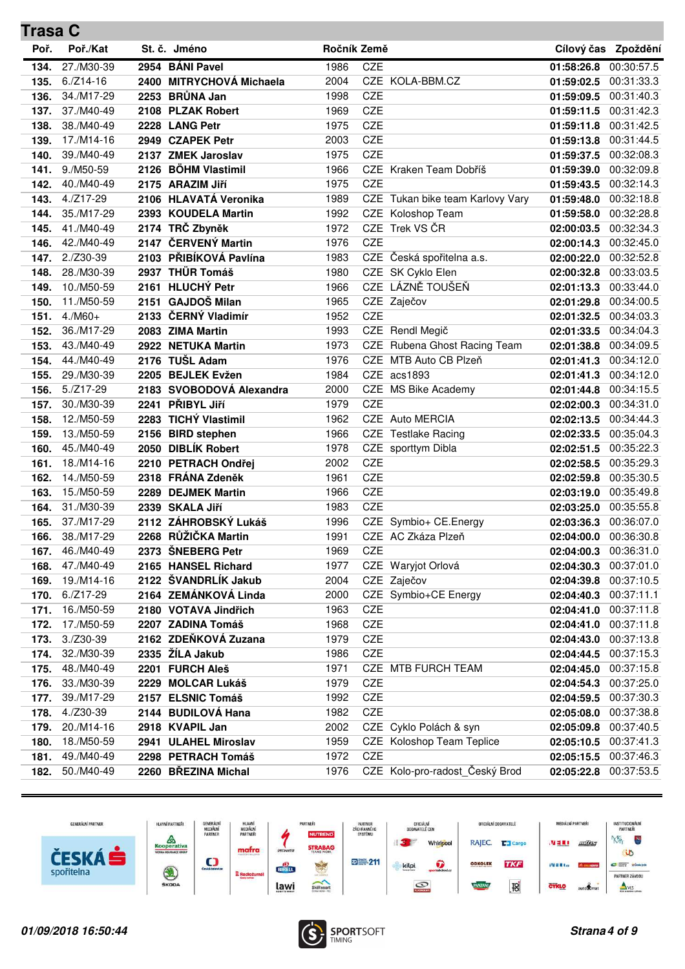| Trasa C |             |                          |             |            |                                  |            |                     |
|---------|-------------|--------------------------|-------------|------------|----------------------------------|------------|---------------------|
| Poř.    | Poř./Kat    | St. č. Jméno             | Ročník Země |            |                                  |            | Cílový čas Zpoždění |
| 134.    | 27./M30-39  | 2954 BÁNI Pavel          | 1986        | CZE        |                                  | 01:58:26.8 | 00:30:57.5          |
| 135.    | $6./Z14-16$ | 2400 MITRYCHOVÁ Michaela | 2004        |            | CZE KOLA-BBM.CZ                  | 01:59:02.5 | 00:31:33.3          |
| 136.    | 34./M17-29  | 2253 BRŮNA Jan           | 1998        | CZE        |                                  | 01:59:09.5 | 00:31:40.3          |
| 137.    | 37./M40-49  | 2108 PLZAK Robert        | 1969        | CZE        |                                  | 01:59:11.5 | 00:31:42.3          |
| 138.    | 38./M40-49  | 2228 LANG Petr           | 1975        | <b>CZE</b> |                                  | 01:59:11.8 | 00:31:42.5          |
| 139.    | 17./M14-16  | 2949 CZAPEK Petr         | 2003        | <b>CZE</b> |                                  | 01:59:13.8 | 00:31:44.5          |
| 140.    | 39./M40-49  | 2137 ZMEK Jaroslav       | 1975        | CZE        |                                  | 01:59:37.5 | 00:32:08.3          |
| 141.    | 9./M50-59   | 2126 BÖHM Vlastimil      | 1966        |            | CZE Kraken Team Dobříš           | 01:59:39.0 | 00:32:09.8          |
| 142.    | 40./M40-49  | 2175 ARAZIM Jiří         | 1975        | <b>CZE</b> |                                  | 01:59:43.5 | 00:32:14.3          |
| 143.    | $4./Z17-29$ | 2106 HLAVATÁ Veronika    | 1989        |            | CZE Tukan bike team Karlovy Vary | 01:59:48.0 | 00:32:18.8          |
| 144.    | 35./M17-29  | 2393 KOUDELA Martin      | 1992        |            | CZE Koloshop Team                | 01:59:58.0 | 00:32:28.8          |
| 145.    | 41./M40-49  | 2174 TRČ Zbyněk          | 1972        |            | CZE Trek VS ČR                   | 02:00:03.5 | 00:32:34.3          |
| 146.    | 42./M40-49  | 2147 ČERVENÝ Martin      | 1976        | CZE        |                                  | 02:00:14.3 | 00:32:45.0          |
| 147.    | $2./Z30-39$ | 2103 PŘIBÍKOVÁ Pavlína   | 1983        |            | CZE Česká spořitelna a.s.        | 02:00:22.0 | 00:32:52.8          |
| 148.    | 28./M30-39  | 2937 THÜR Tomáš          | 1980        |            | CZE SK Cyklo Elen                | 02:00:32.8 | 00:33:03.5          |
| 149.    | 10./M50-59  | 2161 HLUCHÝ Petr         | 1966        |            | CZE LÁZNĚ TOUŠEŇ                 | 02:01:13.3 | 00:33:44.0          |
| 150.    | 11./M50-59  | 2151 GAJDOŠ Milan        | 1965        |            | CZE Zaječov                      | 02:01:29.8 | 00:34:00.5          |
| 151.    | $4./M60+$   | 2133 ČERNÝ Vladimír      | 1952        | <b>CZE</b> |                                  | 02:01:32.5 | 00:34:03.3          |
| 152.    | 36./M17-29  | 2083 ZIMA Martin         | 1993        |            | CZE Rendl Megič                  | 02:01:33.5 | 00:34:04.3          |
| 153.    | 43./M40-49  | 2922 NETUKA Martin       | 1973        |            | CZE Rubena Ghost Racing Team     | 02:01:38.8 | 00:34:09.5          |
| 154.    | 44./M40-49  | 2176 TUŠL Adam           | 1976        |            | CZE MTB Auto CB Plzeň            | 02:01:41.3 | 00:34:12.0          |
| 155.    | 29./M30-39  | 2205 BEJLEK Evžen        | 1984        |            | CZE acs1893                      | 02:01:41.3 | 00:34:12.0          |
| 156.    | $5./Z17-29$ | 2183 SVOBODOVÁ Alexandra | 2000        |            | CZE MS Bike Academy              | 02:01:44.8 | 00:34:15.5          |
| 157.    | 30./M30-39  | 2241 PŘIBYL Jiří         | 1979        | <b>CZE</b> |                                  | 02:02:00.3 | 00:34:31.0          |
| 158.    | 12./M50-59  | 2283 TICHÝ Vlastimil     | 1962        |            | CZE Auto MERCIA                  | 02:02:13.5 | 00:34:44.3          |
| 159.    | 13./M50-59  | 2156 BIRD stephen        | 1966        |            | CZE Testlake Racing              | 02:02:33.5 | 00:35:04.3          |
| 160.    | 45./M40-49  | 2050 DIBLÍK Robert       | 1978        |            | CZE sporttym Dibla               | 02:02:51.5 | 00:35:22.3          |
| 161.    | 18./M14-16  | 2210 PETRACH Ondřej      | 2002        | CZE        |                                  | 02:02:58.5 | 00:35:29.3          |
| 162.    | 14./M50-59  | 2318 FRÁNA Zdeněk        | 1961        | CZE        |                                  | 02:02:59.8 | 00:35:30.5          |
| 163.    | 15./M50-59  | 2289 DEJMEK Martin       | 1966        | <b>CZE</b> |                                  | 02:03:19.0 | 00:35:49.8          |
| 164.    | 31./M30-39  | 2339 SKALA Jiří          | 1983        | <b>CZE</b> |                                  | 02:03:25.0 | 00:35:55.8          |
| 165.    | 37./M17-29  | 2112 ZÁHROBSKÝ Lukáš     | 1996        |            | CZE Symbio+ CE.Energy            | 02:03:36.3 | 00:36:07.0          |
| 166.    | 38./M17-29  | 2268 RŮŽIČKA Martin      | 1991        |            | CZE AC Zkáza Plzeň               | 02:04:00.0 | 00:36:30.8          |
| 167.    | 46./M40-49  | 2373 ŠNEBERG Petr        | 1969        | CZE        |                                  | 02:04:00.3 | 00:36:31.0          |
| 168.    | 47./M40-49  | 2165 HANSEL Richard      | 1977        |            | CZE Waryjot Orlová               | 02:04:30.3 | 00:37:01.0          |
| 169.    | 19./M14-16  | 2122 ŠVANDRLÍK Jakub     | 2004        |            | CZE Zaječov                      | 02:04:39.8 | 00:37:10.5          |
| 170.    | $6./Z17-29$ | 2164 ZEMÁNKOVÁ Linda     | 2000        |            | CZE Symbio+CE Energy             | 02:04:40.3 | 00:37:11.1          |
| 171.    | 16./M50-59  | 2180 VOTAVA Jindřich     | 1963        | <b>CZE</b> |                                  | 02:04:41.0 | 00:37:11.8          |
| 172.    | 17./M50-59  | 2207 ZADINA Tomáš        | 1968        | CZE        |                                  | 02:04:41.0 | 00:37:11.8          |
| 173.    | $3./Z30-39$ | 2162 ZDEŇKOVÁ Zuzana     | 1979        | CZE        |                                  | 02:04:43.0 | 00:37:13.8          |
| 174.    | 32./M30-39  | 2335 ŽÍLA Jakub          | 1986        | CZE        |                                  | 02:04:44.5 | 00:37:15.3          |
| 175.    | 48./M40-49  | 2201 FURCH Aleš          | 1971        |            | CZE MTB FURCH TEAM               | 02:04:45.0 | 00:37:15.8          |
| 176.    | 33./M30-39  | 2229 MOLCAR Lukáš        | 1979        | CZE        |                                  | 02:04:54.3 | 00:37:25.0          |
| 177.    | 39./M17-29  | 2157 ELSNIC Tomáš        | 1992        | CZE        |                                  | 02:04:59.5 | 00:37:30.3          |
| 178.    | 4./Z30-39   | 2144 BUDILOVÁ Hana       | 1982        | <b>CZE</b> |                                  | 02:05:08.0 | 00:37:38.8          |
| 179.    | 20./M14-16  | 2918 KVAPIL Jan          | 2002        |            | CZE Cyklo Polách & syn           | 02:05:09.8 | 00:37:40.5          |
| 180.    | 18./M50-59  | 2941 ULAHEL Miroslav     | 1959        |            | CZE Koloshop Team Teplice        | 02:05:10.5 | 00:37:41.3          |
| 181.    | 49./M40-49  | 2298 PETRACH Tomáš       | 1972        | <b>CZE</b> |                                  | 02:05:15.5 | 00:37:46.3          |
| 182.    | 50./M40-49  | 2260 BŘEZINA Michal      | 1976        |            | CZE Kolo-pro-radost Český Brod   | 02:05:22.8 | 00:37:53.5          |



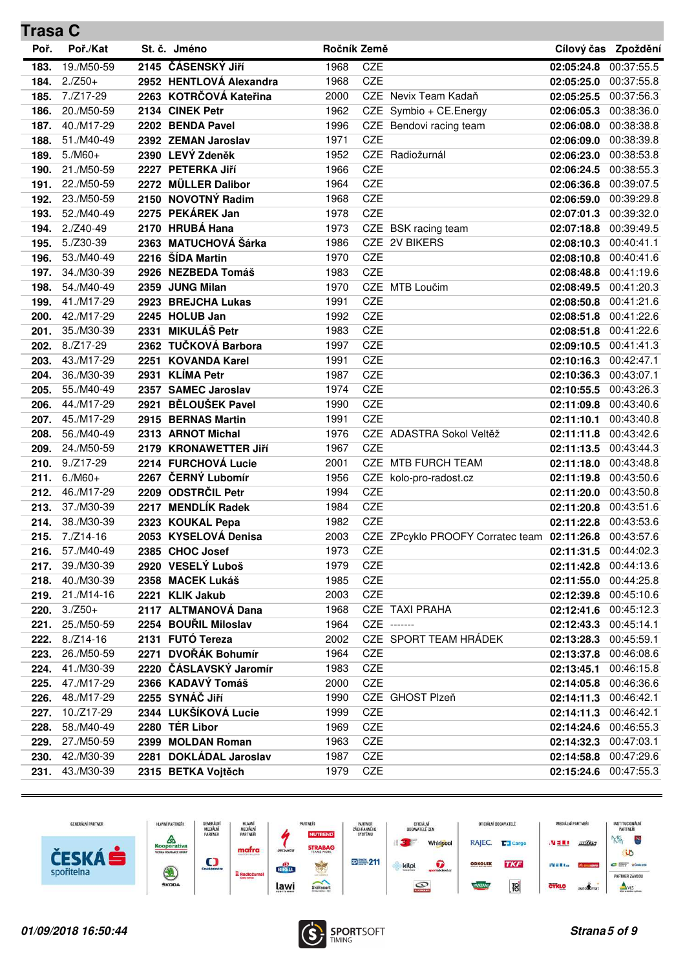| <b>Trasa C</b> |             |      |                         |             |            |                                             |                       |                     |
|----------------|-------------|------|-------------------------|-------------|------------|---------------------------------------------|-----------------------|---------------------|
| Poř.           | Poř./Kat    |      | St. č. Jméno            | Ročník Země |            |                                             |                       | Cílový čas Zpoždění |
| 183.           | 19./M50-59  |      | 2145 ČÁSENSKÝ Jiří      | 1968        | CZE        |                                             | 02:05:24.8            | 00:37:55.5          |
| 184.           | $2./Z50+$   |      | 2952 HENTLOVÁ Alexandra | 1968        | CZE        |                                             | 02:05:25.0            | 00:37:55.8          |
| 185.           | 7./Z17-29   |      | 2263 KOTRČOVÁ Kateřina  | 2000        |            | CZE Nevix Team Kadaň                        | 02:05:25.5            | 00:37:56.3          |
| 186.           | 20./M50-59  |      | 2134 CINEK Petr         | 1962        |            | CZE Symbio + CE.Energy                      | 02:06:05.3            | 00:38:36.0          |
| 187.           | 40./M17-29  |      | 2202 BENDA Pavel        | 1996        |            | CZE Bendovi racing team                     | 02:06:08.0            | 00:38:38.8          |
| 188.           | 51./M40-49  |      | 2392 ZEMAN Jaroslav     | 1971        | <b>CZE</b> |                                             | 02:06:09.0            | 00:38:39.8          |
| 189.           | $5./M60+$   |      | 2390 LEVÝ Zdeněk        | 1952        |            | CZE Radiožurnál                             | 02:06:23.0            | 00:38:53.8          |
| 190.           | 21./M50-59  |      | 2227 PETERKA Jiří       | 1966        | <b>CZE</b> |                                             | 02:06:24.5            | 00:38:55.3          |
| 191.           | 22./M50-59  |      | 2272 MÜLLER Dalibor     | 1964        | CZE        |                                             | 02:06:36.8            | 00:39:07.5          |
| 192.           | 23./M50-59  |      | 2150 NOVOTNÝ Radim      | 1968        | CZE        |                                             | 02:06:59.0            | 00:39:29.8          |
| 193.           | 52./M40-49  |      | 2275 PEKÁREK Jan        | 1978        | CZE        |                                             | 02:07:01.3            | 00:39:32.0          |
| 194.           | $2./Z40-49$ |      | 2170 HRUBÁ Hana         | 1973        |            | CZE BSK racing team                         | 02:07:18.8            | 00:39:49.5          |
| 195.           | 5./Z30-39   |      | 2363 MATUCHOVÁ Šárka    | 1986        |            | CZE 2V BIKERS                               | 02:08:10.3            | 00:40:41.1          |
| 196.           | 53./M40-49  |      | 2216 ŠÍDA Martin        | 1970        | <b>CZE</b> |                                             | 02:08:10.8            | 00:40:41.6          |
| 197.           | 34./M30-39  |      | 2926 NEZBEDA Tomáš      | 1983        | CZE        |                                             | 02:08:48.8            | 00:41:19.6          |
| 198.           | 54./M40-49  |      | 2359 JUNG Milan         | 1970        |            | CZE MTB Loučim                              | 02:08:49.5            | 00:41:20.3          |
| 199.           | 41./M17-29  |      | 2923 BREJCHA Lukas      | 1991        | CZE        |                                             | 02:08:50.8            | 00:41:21.6          |
| 200.           | 42./M17-29  |      | 2245 HOLUB Jan          | 1992        | CZE        |                                             | 02:08:51.8            | 00:41:22.6          |
| 201.           | 35./M30-39  | 2331 | <b>MIKULÁŠ Petr</b>     | 1983        | CZE        |                                             | 02:08:51.8            | 00:41:22.6          |
| 202.           | $8./Z17-29$ |      | 2362 TUČKOVÁ Barbora    | 1997        | CZE        |                                             | 02:09:10.5            | 00:41:41.3          |
| 203.           | 43./M17-29  |      | 2251 KOVANDA Karel      | 1991        | CZE        |                                             | 02:10:16.3            | 00:42:47.1          |
| 204.           | 36./M30-39  |      | 2931 KLÍMA Petr         | 1987        | <b>CZE</b> |                                             | 02:10:36.3            | 00:43:07.1          |
| 205.           | 55./M40-49  |      | 2357 SAMEC Jaroslav     | 1974        | CZE        |                                             | 02:10:55.5            | 00:43:26.3          |
| 206.           | 44./M17-29  | 2921 | <b>BĚLOUŠEK Pavel</b>   | 1990        | CZE        |                                             | 02:11:09.8            | 00:43:40.6          |
| 207.           | 45./M17-29  |      | 2915 BERNAS Martin      | 1991        | CZE        |                                             | 02:11:10.1            | 00:43:40.8          |
| 208.           | 56./M40-49  |      | 2313 ARNOT Michal       | 1976        |            | CZE ADASTRA Sokol Veltěž                    | 02:11:11.8            | 00:43:42.6          |
| 209.           | 24./M50-59  |      | 2179 KRONAWETTER Jiří   | 1967        | <b>CZE</b> |                                             | 02:11:13.5            | 00:43:44.3          |
| 210.           | $9./Z17-29$ |      | 2214 FURCHOVÁ Lucie     | 2001        |            | CZE MTB FURCH TEAM                          | 02:11:18.0            | 00:43:48.8          |
| 211.           | $6./M60+$   |      | 2267 ČERNÝ Lubomír      | 1956        |            | CZE kolo-pro-radost.cz                      | 02:11:19.8            | 00:43:50.6          |
| 212.           | 46./M17-29  |      | 2209 ODSTRČIL Petr      | 1994        | CZE        |                                             | 02:11:20.0            | 00:43:50.8          |
| 213.           | 37./M30-39  | 2217 | <b>MENDLÍK Radek</b>    | 1984        | CZE        |                                             | 02:11:20.8            | 00:43:51.6          |
| 214.           | 38./M30-39  |      | 2323 KOUKAL Pepa        | 1982        | CZE        |                                             | 02:11:22.8            | 00:43:53.6          |
| 215.           | 7./Z14-16   |      | 2053 KYSELOVÁ Denisa    | 2003        |            | CZE ZPcyklo PROOFY Corratec team 02:11:26.8 |                       | 00:43:57.6          |
| 216.           | 57./M40-49  |      | 2385 CHOC Josef         | 1973        | CZE        |                                             | 02:11:31.5            | 00:44:02.3          |
| 217.           | 39./M30-39  |      | 2920 VESELÝ Luboš       | 1979        | CZE        |                                             | 02:11:42.8            | 00:44:13.6          |
| 218.           | 40./M30-39  |      | 2358 MACEK Lukáš        | 1985        | CZE        |                                             | 02:11:55.0 00:44:25.8 |                     |
| 219.           | 21./M14-16  |      | 2221 KLIK Jakub         | 2003        | CZE        |                                             | 02:12:39.8 00:45:10.6 |                     |
| 220.           | $3./Z50+$   |      | 2117 ALTMANOVÁ Dana     | 1968        |            | CZE TAXI PRAHA                              | 02:12:41.6 00:45:12.3 |                     |
| 221.           | 25./M50-59  |      | 2254 BOUŘIL Miloslav    | 1964        |            | CZE -------                                 | 02:12:43.3 00:45:14.1 |                     |
| 222.           | $8./Z14-16$ |      | 2131 FUTÓ Tereza        | 2002        |            | CZE SPORT TEAM HRÁDEK                       | 02:13:28.3            | 00:45:59.1          |
| 223.           | 26./M50-59  |      | 2271 DVOŘÁK Bohumír     | 1964        | CZE        |                                             | 02:13:37.8            | 00:46:08.6          |
| 224.           | 41./M30-39  |      | 2220 ČÁSLAVSKÝ Jaromír  | 1983        | CZE        |                                             | 02:13:45.1            | 00:46:15.8          |
| 225.           | 47./M17-29  |      | 2366 KADAVÝ Tomáš       | 2000        | CZE        |                                             | 02:14:05.8            | 00:46:36.6          |
| 226.           | 48./M17-29  |      | 2255 SYNÁČ Jiří         | 1990        |            | CZE GHOST Plzeň                             | 02:14:11.3            | 00:46:42.1          |
| 227.           | 10./Z17-29  |      | 2344 LUKŠÍKOVÁ Lucie    | 1999        | CZE        |                                             | 02:14:11.3            | 00:46:42.1          |
| 228.           | 58./M40-49  |      | 2280 TÉR Libor          | 1969        | CZE        |                                             | 02:14:24.6 00:46:55.3 |                     |
| 229.           | 27./M50-59  |      | 2399 MOLDAN Roman       | 1963        | CZE        |                                             | 02:14:32.3 00:47:03.1 |                     |
| 230.           | 42./M30-39  |      | 2281 DOKLÁDAL Jaroslav  | 1987        | CZE        |                                             | 02:14:58.8 00:47:29.6 |                     |
| 231.           | 43./M30-39  |      | 2315 BETKA Vojtěch      | 1979        | CZE        |                                             | 02:15:24.6 00:47:55.3 |                     |



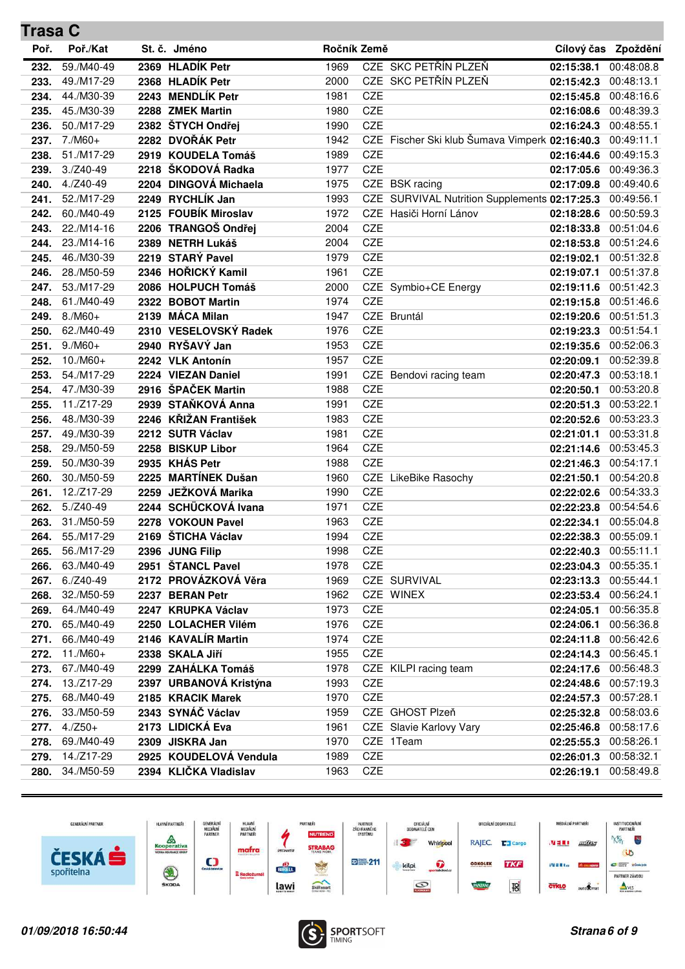| <b>Trasa C</b> |                          |      |                                             |              |            |                                                           |                                     |                          |
|----------------|--------------------------|------|---------------------------------------------|--------------|------------|-----------------------------------------------------------|-------------------------------------|--------------------------|
| Poř.           | Poř./Kat                 |      | St. č. Jméno                                | Ročník Země  |            |                                                           |                                     | Cílový čas Zpoždění      |
| 232.           | 59./M40-49               |      | 2369 HLADÍK Petr                            | 1969         |            | CZE SKC PETŘÍN PLZEŇ                                      | 02:15:38.1                          | 00:48:08.8               |
| 233.           | 49./M17-29               |      | 2368 HLADÍK Petr                            | 2000         |            | CZE SKC PETŘÍN PLZEŇ                                      | 02:15:42.3                          | 00:48:13.1               |
| 234.           | 44./M30-39               |      | 2243 MENDLÍK Petr                           | 1981         | <b>CZE</b> |                                                           | 02:15:45.8                          | 00:48:16.6               |
| 235.           | 45./M30-39               |      | 2288 ZMEK Martin                            | 1980         | CZE        |                                                           | 02:16:08.6                          | 00:48:39.3               |
| 236.           | 50./M17-29               |      | 2382 ŠTYCH Ondřej                           | 1990         | CZE        |                                                           | 02:16:24.3                          | 00:48:55.1               |
| 237.           | $7./M60+$                |      | 2282 DVOŘÁK Petr                            | 1942         |            | CZE Fischer Ski klub Šumava Vimperk 02:16:40.3 00:49:11.1 |                                     |                          |
| 238.           | 51./M17-29               |      | 2919 KOUDELA Tomáš                          | 1989         | <b>CZE</b> |                                                           | 02:16:44.6                          | 00:49:15.3               |
| 239.           | $3./Z40-49$              |      | 2218 ŠKODOVÁ Radka                          | 1977         | CZE        |                                                           | 02:17:05.6                          | 00:49:36.3               |
| 240.           | $4./Z40-49$              |      | 2204 DINGOVÁ Michaela                       | 1975         |            | CZE BSK racing                                            | 02:17:09.8                          | 00:49:40.6               |
| 241.           | 52./M17-29               |      | 2249 RYCHLÍK Jan                            | 1993         |            | CZE SURVIVAL Nutrition Supplements 02:17:25.3             |                                     | 00:49:56.1               |
| 242.           | 60./M40-49               |      | 2125 FOUBÍK Miroslav                        | 1972         |            | CZE Hasiči Horní Lánov                                    | 02:18:28.6                          | 00:50:59.3               |
| 243.           | 22./M14-16               |      | 2206 TRANGOŠ Ondřej                         | 2004         | CZE        |                                                           | 02:18:33.8                          | 00:51:04.6               |
| 244.           | 23./M14-16               |      | 2389 NETRH Lukáš                            | 2004         | CZE        |                                                           | 02:18:53.8 00:51:24.6               |                          |
| 245.           | 46./M30-39               |      | 2219 STARÝ Pavel                            | 1979         | CZE        |                                                           | 02:19:02.1 00:51:32.8               |                          |
| 246.           | 28./M50-59               |      | 2346 HOŘICKÝ Kamil                          | 1961         | CZE        |                                                           | 02:19:07.1                          | 00:51:37.8               |
| 247.           | 53./M17-29               |      | 2086 HOLPUCH Tomáš                          | 2000         |            | CZE Symbio+CE Energy                                      | 02:19:11.6                          | 00:51:42.3               |
| 248.           | 61./M40-49               | 2322 | <b>BOBOT Martin</b>                         | 1974         | CZE        |                                                           | 02:19:15.8                          | 00:51:46.6               |
| 249.           | $8./M60+$                |      | 2139 MÁCA Milan                             | 1947         |            | CZE Bruntál                                               | 02:19:20.6                          | 00:51:51.3               |
| 250.           | 62./M40-49               |      | 2310 VESELOVSKÝ Radek                       | 1976         | CZE        |                                                           | 02:19:23.3                          | 00:51:54.1               |
| 251.           | $9./M60+$                |      | 2940 RYŠAVÝ Jan                             | 1953         | CZE        |                                                           | 02:19:35.6                          | 00:52:06.3               |
| 252.           | $10./M60+$               |      | 2242 VLK Antonín                            | 1957         | CZE        |                                                           | 02:20:09.1                          | 00:52:39.8               |
| 253.           | 54./M17-29               |      | 2224 VIEZAN Daniel                          | 1991         |            | CZE Bendovi racing team                                   | 02:20:47.3 00:53:18.1               |                          |
| 254.           | 47./M30-39               |      | 2916 ŠPAČEK Martin                          | 1988         | CZE        |                                                           | 02:20:50.1                          | 00:53:20.8               |
| 255.           | 11./Z17-29               |      | 2939 STAŇKOVÁ Anna                          | 1991         | CZE        |                                                           | 02:20:51.3                          | 00:53:22.1               |
| 256.           | 48./M30-39               |      | 2246 KŘIŽAN František                       | 1983         | CZE        |                                                           | 02:20:52.6                          | 00:53:23.3               |
| 257.           | 49./M30-39               |      | 2212 SUTR Václav                            | 1981         | CZE        |                                                           | 02:21:01.1                          | 00:53:31.8               |
| 258.           | 29./M50-59               |      | 2258 BISKUP Libor                           | 1964         | CZE        |                                                           | 02:21:14.6                          | 00:53:45.3               |
| 259.           | 50./M30-39               |      | 2935 KHÁS Petr                              | 1988         | CZE        |                                                           | 02:21:46.3                          | 00:54:17.1               |
| 260.           | 30./M50-59               | 2225 | <b>MARTÍNEK Dušan</b>                       | 1960         |            | CZE LikeBike Rasochy                                      | 02:21:50.1                          | 00:54:20.8               |
| 261.           | 12./Z17-29               |      | 2259 JEŽKOVÁ Marika                         | 1990         | CZE        |                                                           | 02:22:02.6 00:54:33.3               |                          |
| 262.           | $5./Z40-49$              |      | 2244 SCHÜCKOVÁ Ivana                        | 1971         | CZE        |                                                           | 02:22:23.8 00:54:54.6               |                          |
| 263.           | 31./M50-59               |      | 2278 VOKOUN Pavel                           | 1963         | CZE        |                                                           | 02:22:34.1                          | 00:55:04.8               |
| 264.           | 55./M17-29               |      | 2169 ŠTICHA Václav                          | 1994         | CZE        |                                                           | 02:22:38.3                          | 00:55:09.1               |
| 265.           | 56./M17-29               |      | 2396 JUNG Filip                             | 1998         | CZE        |                                                           | 02:22:40.3                          | 00:55:11.1               |
| 266.           | 63./M40-49               |      | 2951 ŠTANCL Pavel                           | 1978         | CZE        |                                                           | 02:23:04.3                          | 00:55:35.1               |
| 267.           | $6./Z40-49$              |      | 2172 PROVÁZKOVÁ Věra                        | 1969         |            | CZE SURVIVAL                                              | 02:23:13.3 00:55:44.1               |                          |
| 268.           | 32./M50-59               |      | 2237 BERAN Petr                             | 1962         |            | CZE WINEX                                                 | 02:23:53.4 00:56:24.1               |                          |
| 269.           | 64./M40-49               |      | 2247 KRUPKA Václav                          | 1973         | CZE        |                                                           | 02:24:05.1 00:56:35.8               |                          |
| 270.           | 65./M40-49               |      | 2250 LOLACHER Vilém                         | 1976         | CZE        |                                                           | 02:24:06.1 00:56:36.8               |                          |
| 271.           | 66./M40-49               |      | 2146 KAVALÍR Martin                         | 1974         | CZE        |                                                           | 02:24:11.8                          | 00:56:42.6               |
| 272.           | $11./M60+$<br>67./M40-49 |      | 2338 SKALA Jiří<br>2299 ZAHÁLKA Tomáš       | 1955         | CZE        | CZE KILPI racing team                                     | 02:24:14.3                          | 00:56:45.1               |
| 273.           | 13./Z17-29               |      |                                             | 1978         | CZE        |                                                           | 02:24:17.6                          | 00:56:48.3               |
| 274.           | 68./M40-49               |      | 2397 URBANOVÁ Kristýna<br>2185 KRACIK Marek | 1993         | CZE        |                                                           | 02:24:48.6                          | 00:57:19.3<br>00:57:28.1 |
| 275.           | 33./M50-59               |      | 2343 SYNÁČ Václav                           | 1970<br>1959 |            | CZE GHOST Plzeň                                           | 02:24:57.3                          | 00:58:03.6               |
| 276.<br>277.   | $4./Z50+$                |      | 2173 LIDICKÁ Eva                            | 1961         |            | CZE Slavie Karlovy Vary                                   | 02:25:32.8<br>02:25:46.8 00:58:17.6 |                          |
| 278.           | 69./M40-49               |      | 2309 JISKRA Jan                             | 1970         |            | CZE 1Team                                                 | 02:25:55.3 00:58:26.1               |                          |
| 279.           | 14./Z17-29               |      | 2925 KOUDELOVÁ Vendula                      | 1989         | CZE        |                                                           | 02:26:01.3 00:58:32.1               |                          |
| 280.           | 34./M50-59               |      | 2394 KLIČKA Vladislav                       | 1963         | CZE        |                                                           | 02:26:19.1 00:58:49.8               |                          |
|                |                          |      |                                             |              |            |                                                           |                                     |                          |



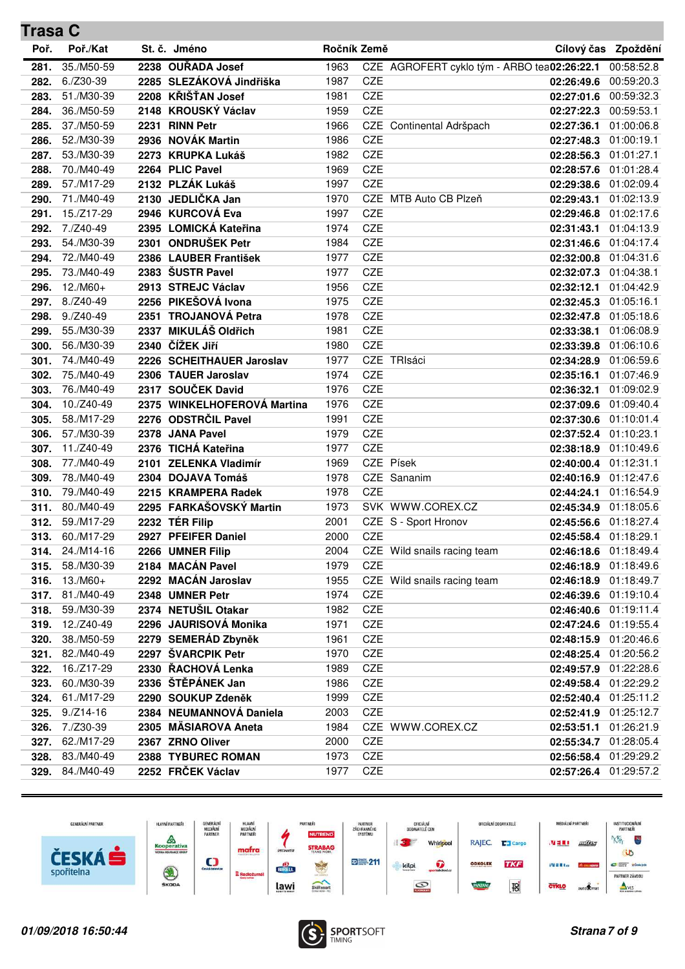| <b>Trasa C</b> |                 |      |                             |             |            |                                             |                       |                     |
|----------------|-----------------|------|-----------------------------|-------------|------------|---------------------------------------------|-----------------------|---------------------|
| Poř.           | Poř./Kat        |      | St. č. Jméno                | Ročník Země |            |                                             |                       | Cílový čas Zpoždění |
| 281.           | 35./M50-59      |      | 2238 OUŘADA Josef           | 1963        |            | CZE AGROFERT cyklo tým - ARBO tea02:26:22.1 |                       | 00:58:52.8          |
| 282.           | $6./Z30-39$     |      | 2285 SLEZÁKOVÁ Jindřiška    | 1987        | CZE        |                                             | 02:26:49.6            | 00:59:20.3          |
| 283.           | 51./M30-39      |      | 2208 KŘIŠŤAN Josef          | 1981        | CZE        |                                             | 02:27:01.6            | 00:59:32.3          |
| 284.           | 36./M50-59      |      | 2148 KROUSKÝ Václav         | 1959        | CZE        |                                             | 02:27:22.3            | 00:59:53.1          |
| 285.           | 37./M50-59      |      | 2231 RINN Petr              | 1966        |            | CZE Continental Adršpach                    | 02:27:36.1            | 01:00:06.8          |
| 286.           | 52./M30-39      |      | 2936 NOVÁK Martin           | 1986        | <b>CZE</b> |                                             | 02:27:48.3            | 01:00:19.1          |
| 287.           | 53./M30-39      |      | 2273 KRUPKA Lukáš           | 1982        | <b>CZE</b> |                                             | 02:28:56.3            | 01:01:27.1          |
| 288.           | 70./M40-49      |      | 2264 PLIC Pavel             | 1969        | CZE        |                                             | 02:28:57.6            | 01:01:28.4          |
| 289.           | 57./M17-29      |      | 2132 PLZÁK Lukáš            | 1997        | CZE        |                                             | 02:29:38.6 01:02:09.4 |                     |
| 290.           | 71./M40-49      |      | 2130 JEDLIČKA Jan           | 1970        |            | CZE MTB Auto CB Plzeň                       | 02:29:43.1            | 01:02:13.9          |
| 291.           | 15./Z17-29      |      | 2946 KURCOVÁ Eva            | 1997        | CZE        |                                             | 02:29:46.8            | 01:02:17.6          |
| 292.           | 7./Z40-49       |      | 2395 LOMICKÁ Kateřina       | 1974        | CZE        |                                             | 02:31:43.1            | 01:04:13.9          |
| 293.           | 54./M30-39      |      | 2301 ONDRUŠEK Petr          | 1984        | CZE        |                                             | 02:31:46.6 01:04:17.4 |                     |
| 294.           | 72./M40-49      |      | 2386 LAUBER František       | 1977        | CZE        |                                             | 02:32:00.8            | 01:04:31.6          |
| 295.           | 73./M40-49      |      | 2383 ŠUSTR Pavel            | 1977        | CZE        |                                             | 02:32:07.3            | 01:04:38.1          |
| 296.           | $12./M60+$      |      | 2913 STREJC Václav          | 1956        | <b>CZE</b> |                                             | 02:32:12.1            | 01:04:42.9          |
| 297.           | $8./Z40-49$     |      | 2256 PIKEŠOVÁ Ivona         | 1975        | CZE        |                                             | 02:32:45.3            | 01:05:16.1          |
| 298.           | $9./Z40-49$     | 2351 | <b>TROJANOVÁ Petra</b>      | 1978        | CZE        |                                             | 02:32:47.8            | 01:05:18.6          |
| 299.           | 55./M30-39      |      | 2337 MIKULÁŠ Oldřich        | 1981        | CZE        |                                             | 02:33:38.1            | 01:06:08.9          |
| 300.           | 56./M30-39      |      | 2340 ČÍŽEK Jiří             | 1980        | CZE        |                                             | 02:33:39.8            | 01:06:10.6          |
| 301.           | 74./M40-49      |      | 2226 SCHEITHAUER Jaroslav   | 1977        |            | CZE TRIsáci                                 | 02:34:28.9            | 01:06:59.6          |
| 302.           | 75./M40-49      |      | 2306 TAUER Jaroslav         | 1974        | <b>CZE</b> |                                             | 02:35:16.1            | 01:07:46.9          |
| 303.           | 76./M40-49      |      | 2317 SOUČEK David           | 1976        | CZE        |                                             | 02:36:32.1            | 01:09:02.9          |
| 304.           | 10./Z40-49      |      | 2375 WINKELHOFEROVÁ Martina | 1976        | CZE        |                                             | 02:37:09.6            | 01:09:40.4          |
| 305.           | 58./M17-29      |      | 2276 ODSTRČIL Pavel         | 1991        | CZE        |                                             | 02:37:30.6 01:10:01.4 |                     |
| 306.           | 57./M30-39      | 2378 | <b>JANA Pavel</b>           | 1979        | CZE        |                                             | 02:37:52.4            | 01:10:23.1          |
| 307.           | 11./Z40-49      |      | 2376 TICHÁ Kateřina         | 1977        | CZE        |                                             | 02:38:18.9            | 01:10:49.6          |
| 308.           | 77./M40-49      | 2101 | <b>ZELENKA Vladimír</b>     | 1969        |            | CZE Písek                                   | 02:40:00.4 01:12:31.1 |                     |
| 309.           | 78./M40-49      |      | 2304 DOJAVA Tomáš           | 1978        |            | CZE Sananim                                 | 02:40:16.9 01:12:47.6 |                     |
| 310.           | 79./M40-49      |      | 2215 KRAMPERA Radek         | 1978        | CZE        |                                             | 02:44:24.1            | 01:16:54.9          |
| 311.           | 80./M40-49      |      | 2295 FARKAŠOVSKÝ Martin     | 1973        |            | SVK WWW.COREX.CZ                            | 02:45:34.9            | 01:18:05.6          |
| 312.           | 59./M17-29      |      | 2232 TÉR Filip              | 2001        |            | CZE S - Sport Hronov                        | 02:45:56.6            | 01:18:27.4          |
| 313.           | 60./M17-29      |      | 2927 PFEIFER Daniel         | 2000        | CZE        |                                             | 02:45:58.4 01:18:29.1 |                     |
|                | 314. 24./M14-16 |      | 2266 UMNER Filip            | 2004        |            | CZE Wild snails racing team                 | 02:46:18.6 01:18:49.4 |                     |
| 315.           | 58./M30-39      |      | 2184 MACÁN Pavel            | 1979        | CZE        |                                             | 02:46:18.9 01:18:49.6 |                     |
|                | $316. 13./M60+$ |      | 2292 MACÁN Jaroslav         | 1955        |            | CZE Wild snails racing team                 | 02:46:18.9 01:18:49.7 |                     |
| 317.           | 81./M40-49      |      | 2348 UMNER Petr             | 1974        | CZE        |                                             | 02:46:39.6 01:19:10.4 |                     |
| 318.           | 59./M30-39      |      | 2374 NETUŠIL Otakar         | 1982        | CZE        |                                             | 02:46:40.6 01:19:11.4 |                     |
| 319.           | 12./Z40-49      |      | 2296 JAURISOVÁ Monika       | 1971        | CZE        |                                             | 02:47:24.6 01:19:55.4 |                     |
| 320.           | 38./M50-59      |      | 2279 SEMERÁD Zbyněk         | 1961        | CZE        |                                             | 02:48:15.9 01:20:46.6 |                     |
| 321.           | 82./M40-49      |      | 2297 ŠVARCPIK Petr          | 1970        | CZE        |                                             | 02:48:25.4 01:20:56.2 |                     |
| 322.           | 16./Z17-29      |      | 2330 ŘACHOVÁ Lenka          | 1989        | CZE        |                                             | 02:49:57.9 01:22:28.6 |                     |
| 323.           | 60./M30-39      |      | 2336 ŠTĚPÁNEK Jan           | 1986        | CZE        |                                             | 02:49:58.4 01:22:29.2 |                     |
| 324.           | 61./M17-29      |      | 2290 SOUKUP Zdeněk          | 1999        | CZE        |                                             | 02:52:40.4 01:25:11.2 |                     |
| 325.           | $9./Z14-16$     |      | 2384 NEUMANNOVÁ Daniela     | 2003        | CZE        |                                             | 02:52:41.9 01:25:12.7 |                     |
| 326.           | 7./Z30-39       |      | 2305 MÄSIAROVA Aneta        | 1984        |            | CZE WWW.COREX.CZ                            | 02:53:51.1 01:26:21.9 |                     |
| 327.           | 62./M17-29      |      | 2367 ZRNO Oliver            | 2000        | CZE        |                                             | 02:55:34.7 01:28:05.4 |                     |
| 328.           | 83./M40-49      |      | 2388 TYBUREC ROMAN          | 1973        | CZE        |                                             | 02:56:58.4 01:29:29.2 |                     |
|                | 329. 84./M40-49 |      | 2252 FRČEK Václav           | 1977        | CZE        |                                             | 02:57:26.4 01:29:57.2 |                     |



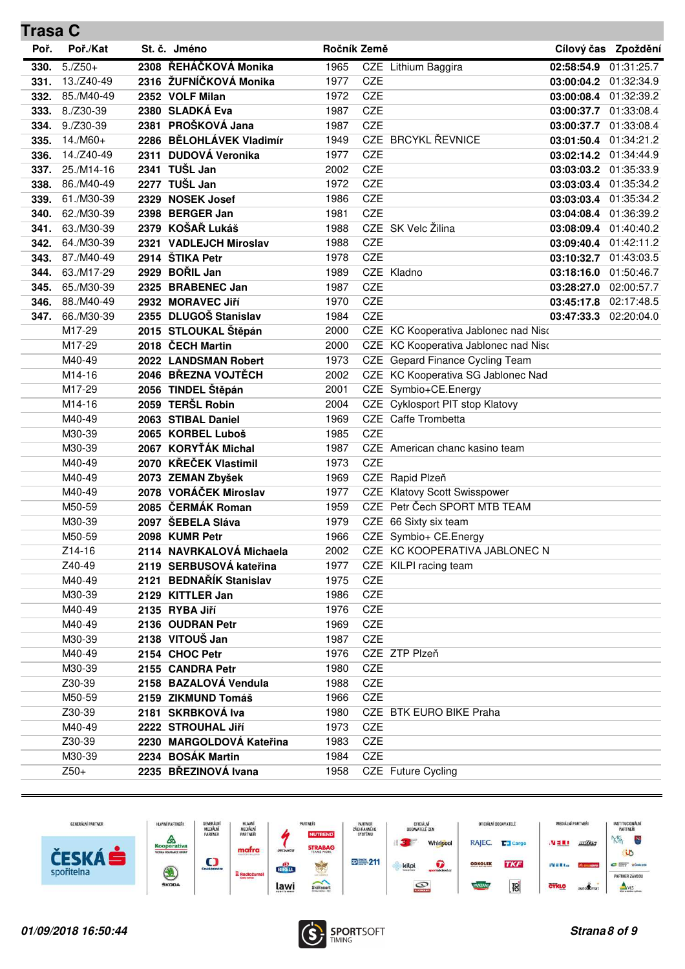| <b>Trasa C</b> |             |                          |             |            |                                      |                       |                     |
|----------------|-------------|--------------------------|-------------|------------|--------------------------------------|-----------------------|---------------------|
| Poř.           | Poř./Kat    | St. č. Jméno             | Ročník Země |            |                                      |                       | Cílový čas Zpoždění |
| 330.           | $5./Z50+$   | 2308 ŘEHÁČKOVÁ Monika    | 1965        |            | CZE Lithium Baggira                  | 02:58:54.9            | 01:31:25.7          |
| 331.           | 13./Z40-49  | 2316 ŽUFNÍČKOVÁ Monika   | 1977        | CZE        |                                      | 03:00:04.2 01:32:34.9 |                     |
| 332.           | 85./M40-49  | 2352 VOLF Milan          | 1972        | CZE        |                                      | 03:00:08.4 01:32:39.2 |                     |
| 333.           | 8./Z30-39   | 2380 SLADKÁ Eva          | 1987        | CZE        |                                      | 03:00:37.7            | 01:33:08.4          |
| 334.           | $9./Z30-39$ | 2381 PROŠKOVÁ Jana       | 1987        | CZE        |                                      | 03:00:37.7 01:33:08.4 |                     |
| 335.           | $14./M60+$  | 2286 BĚLOHLÁVEK Vladimír | 1949        |            | CZE BRCYKL ŘEVNICE                   | 03:01:50.4 01:34:21.2 |                     |
| 336.           | 14./Z40-49  | 2311 DUDOVÁ Veronika     | 1977        | <b>CZE</b> |                                      | 03:02:14.2 01:34:44.9 |                     |
| 337.           | 25./M14-16  | 2341 TUŠL Jan            | 2002        | <b>CZE</b> |                                      | 03:03:03.2 01:35:33.9 |                     |
| 338.           | 86./M40-49  | 2277 TUŠL Jan            | 1972        | CZE        |                                      | 03:03:03.4            | 01:35:34.2          |
| 339.           | 61./M30-39  | 2329 NOSEK Josef         | 1986        | <b>CZE</b> |                                      | 03:03:03.4 01:35:34.2 |                     |
| 340.           | 62./M30-39  | 2398 BERGER Jan          | 1981        | <b>CZE</b> |                                      | 03:04:08.4 01:36:39.2 |                     |
| 341.           | 63./M30-39  | 2379 KOŠAŘ Lukáš         | 1988        |            | CZE SK Velc Žilina                   | 03:08:09.4            | 01:40:40.2          |
| 342.           | 64./M30-39  | 2321 VADLEJCH Miroslav   | 1988        | <b>CZE</b> |                                      | 03:09:40.4 01:42:11.2 |                     |
| 343.           | 87./M40-49  | 2914 ŠTIKA Petr          | 1978        | CZE        |                                      | 03:10:32.7 01:43:03.5 |                     |
| 344.           | 63./M17-29  | 2929 BOŘIL Jan           | 1989        |            | CZE Kladno                           | 03:18:16.0 01:50:46.7 |                     |
| 345.           | 65./M30-39  | 2325 BRABENEC Jan        | 1987        | CZE        |                                      | 03:28:27.0            | 02:00:57.7          |
| 346.           | 88./M40-49  | 2932 MORAVEC Jiří        | 1970        | CZE        |                                      | 03:45:17.8            | 02:17:48.5          |
| 347.           | 66./M30-39  | 2355 DLUGOŠ Stanislav    | 1984        | CZE        |                                      | 03:47:33.3            | 02:20:04.0          |
|                | M17-29      | 2015 STLOUKAL Štěpán     | 2000        |            | CZE KC Kooperativa Jablonec nad Nisc |                       |                     |
|                | M17-29      | 2018 ČECH Martin         | 2000        |            | CZE KC Kooperativa Jablonec nad Nisc |                       |                     |
|                | M40-49      | 2022 LANDSMAN Robert     | 1973        |            | CZE Gepard Finance Cycling Team      |                       |                     |
|                | M14-16      | 2046 BŘEZNA VOJTĚCH      | 2002        |            | CZE KC Kooperativa SG Jablonec Nad   |                       |                     |
|                | M17-29      | 2056 TINDEL Štěpán       | 2001        |            | CZE Symbio+CE.Energy                 |                       |                     |
|                | M14-16      | 2059 TERŠL Robin         | 2004        |            | CZE Cyklosport PIT stop Klatovy      |                       |                     |
|                | M40-49      | 2063 STIBAL Daniel       | 1969        |            | CZE Caffe Trombetta                  |                       |                     |
|                | M30-39      | 2065 KORBEL Luboš        | 1985        | CZE        |                                      |                       |                     |
|                | M30-39      | 2067 KORYŤÁK Michal      | 1987        |            | CZE American chanc kasino team       |                       |                     |
|                | M40-49      | 2070 KŘEČEK Vlastimil    | 1973        | <b>CZE</b> |                                      |                       |                     |
|                | M40-49      | 2073 ZEMAN Zbyšek        | 1969        |            | CZE Rapid Plzeň                      |                       |                     |
|                | M40-49      | 2078 VORÁČEK Miroslav    | 1977        |            | CZE Klatovy Scott Swisspower         |                       |                     |
|                | M50-59      | 2085 ČERMÁK Roman        | 1959        |            | CZE Petr Čech SPORT MTB TEAM         |                       |                     |
|                | M30-39      | 2097 ŠEBELA Sláva        | 1979        |            | CZE 66 Sixty six team                |                       |                     |
|                | M50-59      | 2098 KUMR Petr           | 1966        |            | CZE Symbio+ CE.Energy                |                       |                     |
|                | Z14-16      | 2114 NAVRKALOVÁ Michaela | 2002        |            | CZE KC KOOPERATIVA JABLONEC N        |                       |                     |
|                | Z40-49      | 2119 SERBUSOVÁ kateřina  | 1977        |            | CZE KILPI racing team                |                       |                     |
|                | M40-49      | 2121 BEDNAŘÍK Stanislav  | 1975        | CZE        |                                      |                       |                     |
|                | M30-39      | 2129 KITTLER Jan         | 1986        | CZE        |                                      |                       |                     |
|                | M40-49      | 2135 RYBA Jiří           | 1976        | CZE        |                                      |                       |                     |
|                | M40-49      | 2136 OUDRAN Petr         | 1969        | CZE        |                                      |                       |                     |
|                | M30-39      | 2138 VITOUŠ Jan          | 1987        | CZE        |                                      |                       |                     |
|                | M40-49      | 2154 CHOC Petr           | 1976        |            | CZE ZTP Plzeň                        |                       |                     |
|                | M30-39      | 2155 CANDRA Petr         | 1980        | CZE        |                                      |                       |                     |
|                | Z30-39      | 2158 BAZALOVÁ Vendula    | 1988        | CZE        |                                      |                       |                     |
|                | M50-59      | 2159 ZIKMUND Tomáš       | 1966        | CZE        |                                      |                       |                     |
|                | Z30-39      | 2181 SKRBKOVÁ lva        | 1980        |            | CZE BTK EURO BIKE Praha              |                       |                     |
|                | M40-49      | 2222 STROUHAL Jiří       | 1973        | CZE        |                                      |                       |                     |
|                | Z30-39      | 2230 MARGOLDOVÁ Kateřina | 1983        | CZE        |                                      |                       |                     |
|                | M30-39      | 2234 BOSÁK Martin        | 1984        | CZE        |                                      |                       |                     |
|                | $Z50+$      | 2235 BŘEZINOVÁ Ivana     | 1958        |            | CZE Future Cycling                   |                       |                     |